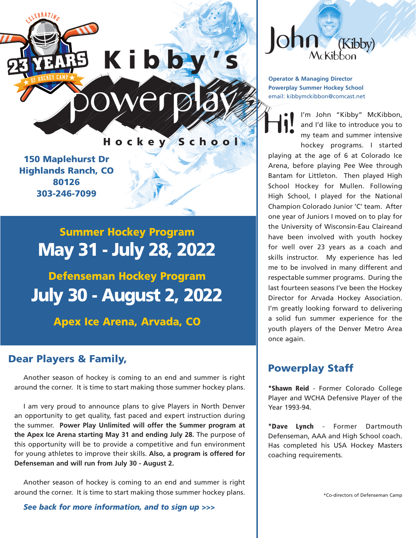

Hockey School

150 Maplehurst Dr Highlands Ranch, CO 80126 303-246-7099

# Summer Hockey Program May 31 - July 28, 2022

Defenseman Hockey Program July 30 - August 2, 2022

Apex Ice Arena, Arvada, CO

# Dear Players & Family,

Another season of hockey is coming to an end and summer is right around the corner. It is time to start making those summer hockey plans.

I am very proud to announce plans to give Players in North Denver an opportunity to get quality, fast paced and expert instruction during the summer. **Power Play Unlimited will offer the Summer program at the Apex Ice Arena starting May 31 and ending July 28.** The purpose of this opportunity will be to provide a competitive and fun environment for young athletes to improve their skills. **Also, a program is offered for Defenseman and will run from July 30 - August 2.**

Another season of hockey is coming to an end and summer is right around the corner. It is time to start making those summer hockey plans.

*See back for more information, and to sign up >>>*



**Operator & Managing Director Powerplay Summer Hockey School** email: kibbymckibbon@comcast.net

I'm John "Kibby" McKibbon, and I'd like to introduce you to my team and summer intensive hockey programs. I started playing at the age of 6 at Colorado Ice Arena, before playing Pee Wee through Bantam for Littleton. Then played High School Hockey for Mullen. Following High School, I played for the National Champion Colorado Junior 'C' team. After one year of Juniors I moved on to play for the University of Wisconsin-Eau Claireand have been involved with youth hockey for well over 23 years as a coach and skills instructor. My experience has led me to be involved in many different and respectable summer programs. During the last fourteen seasons I've been the Hockey Director for Arvada Hockey Association. I'm greatly looking forward to delivering a solid fun summer experience for the youth players of the Denver Metro Area once again. Hi!

# Powerplay Staff

\*Shawn Reid - Former Colorado College Player and WCHA Defensive Player of the Year 1993-94.

\*Dave Lynch - Former Dartmouth Defenseman, AAA and High School coach. Has completed his USA Hockey Masters coaching requirements.

\*Co-directors of Defenseman Camp